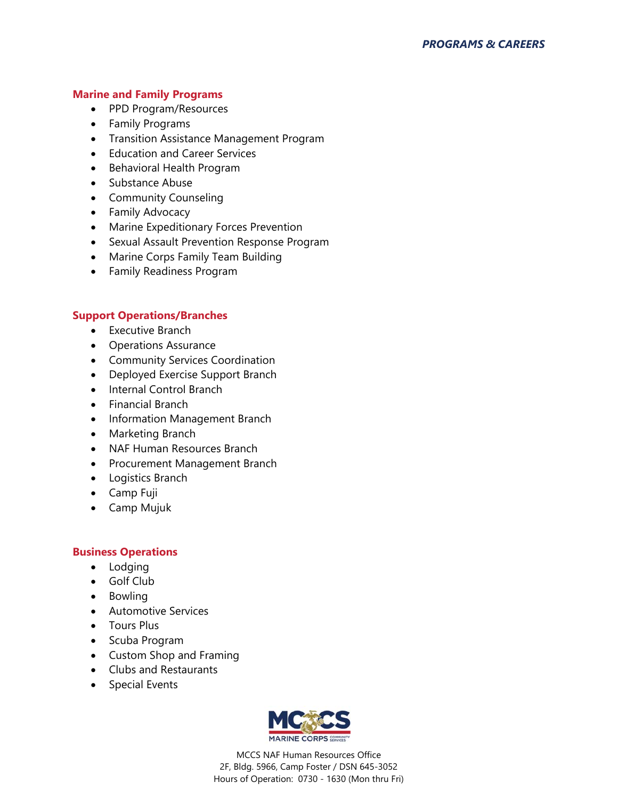## **Marine and Family Programs**

- PPD Program/Resources
- Family Programs
- Transition Assistance Management Program
- **•** Education and Career Services
- Behavioral Health Program
- Substance Abuse
- Community Counseling
- Family Advocacy
- Marine Expeditionary Forces Prevention
- Sexual Assault Prevention Response Program
- Marine Corps Family Team Building
- Family Readiness Program

## **Support Operations/Branches**

- Executive Branch
- Operations Assurance
- Community Services Coordination
- Deployed Exercise Support Branch
- Internal Control Branch
- Financial Branch
- Information Management Branch
- Marketing Branch
- NAF Human Resources Branch
- Procurement Management Branch
- Logistics Branch
- Camp Fuji
- Camp Mujuk

#### **Business Operations**

- Lodging
- Golf Club
- Bowling
- **Automotive Services**
- Tours Plus
- Scuba Program
- Custom Shop and Framing
- Clubs and Restaurants
- Special Events



MCCS NAF Human Resources Office 2F, Bldg. 5966, Camp Foster / DSN 645-3052 Hours of Operation: 0730 - 1630 (Mon thru Fri)